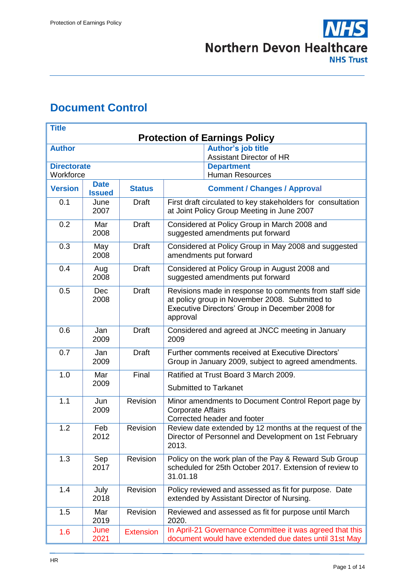# <span id="page-0-0"></span>**Document Control**

| <b>Title</b>                                             |                    |                  |                                                                                                                                                                         |  |  |
|----------------------------------------------------------|--------------------|------------------|-------------------------------------------------------------------------------------------------------------------------------------------------------------------------|--|--|
| <b>Protection of Earnings Policy</b>                     |                    |                  |                                                                                                                                                                         |  |  |
| <b>Author</b>                                            |                    |                  | <b>Author's job title</b>                                                                                                                                               |  |  |
| <b>Directorate</b>                                       |                    |                  | <b>Assistant Director of HR</b>                                                                                                                                         |  |  |
| <b>Department</b><br>Workforce<br><b>Human Resources</b> |                    |                  |                                                                                                                                                                         |  |  |
|                                                          | <b>Date</b>        |                  |                                                                                                                                                                         |  |  |
| <b>Version</b>                                           | <b>Issued</b>      | <b>Status</b>    | <b>Comment / Changes / Approval</b>                                                                                                                                     |  |  |
| 0.1                                                      | June<br>2007       | <b>Draft</b>     | First draft circulated to key stakeholders for consultation<br>at Joint Policy Group Meeting in June 2007                                                               |  |  |
| 0.2                                                      | Mar<br>2008        | <b>Draft</b>     | Considered at Policy Group in March 2008 and<br>suggested amendments put forward                                                                                        |  |  |
| 0.3                                                      | May<br>2008        | <b>Draft</b>     | Considered at Policy Group in May 2008 and suggested<br>amendments put forward                                                                                          |  |  |
| 0.4                                                      | Aug<br>2008        | <b>Draft</b>     | Considered at Policy Group in August 2008 and<br>suggested amendments put forward                                                                                       |  |  |
| 0.5                                                      | <b>Dec</b><br>2008 | <b>Draft</b>     | Revisions made in response to comments from staff side<br>at policy group in November 2008. Submitted to<br>Executive Directors' Group in December 2008 for<br>approval |  |  |
| 0.6                                                      | Jan<br>2009        | <b>Draft</b>     | Considered and agreed at JNCC meeting in January<br>2009                                                                                                                |  |  |
| 0.7                                                      | Jan<br>2009        | <b>Draft</b>     | Further comments received at Executive Directors'<br>Group in January 2009, subject to agreed amendments.                                                               |  |  |
| 1.0                                                      | Mar<br>2009        | Final            | Ratified at Trust Board 3 March 2009.<br><b>Submitted to Tarkanet</b>                                                                                                   |  |  |
| 1.1                                                      | Jun<br>2009        | Revision         | Minor amendments to Document Control Report page by<br><b>Corporate Affairs</b><br>Corrected header and footer                                                          |  |  |
| 1.2                                                      | Feb<br>2012        | Revision         | Review date extended by 12 months at the request of the<br>Director of Personnel and Development on 1st February<br>2013.                                               |  |  |
| 1.3                                                      | Sep<br>2017        | Revision         | Policy on the work plan of the Pay & Reward Sub Group<br>scheduled for 25th October 2017. Extension of review to<br>31.01.18                                            |  |  |
| 1.4                                                      | July<br>2018       | Revision         | Policy reviewed and assessed as fit for purpose. Date<br>extended by Assistant Director of Nursing.                                                                     |  |  |
| 1.5                                                      | Mar<br>2019        | Revision         | Reviewed and assessed as fit for purpose until March<br>2020.                                                                                                           |  |  |
| 1.6                                                      | June<br>2021       | <b>Extension</b> | In April-21 Governance Committee it was agreed that this<br>document would have extended due dates until 31st May                                                       |  |  |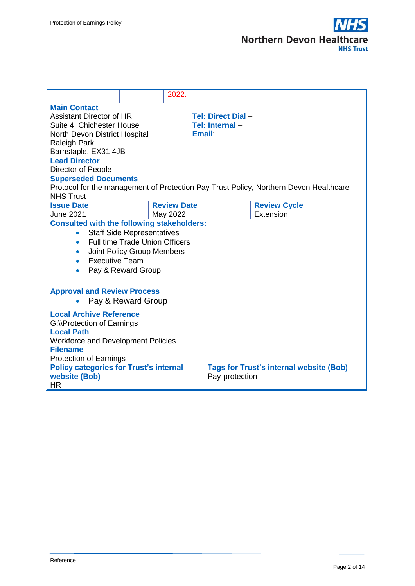|                                                                                                                                                                                                                                                                                                       | 2022.              |                                               |                                                                                       |  |
|-------------------------------------------------------------------------------------------------------------------------------------------------------------------------------------------------------------------------------------------------------------------------------------------------------|--------------------|-----------------------------------------------|---------------------------------------------------------------------------------------|--|
| <b>Main Contact</b><br><b>Assistant Director of HR</b><br>Suite 4, Chichester House<br>North Devon District Hospital<br><b>Raleigh Park</b><br>Barnstaple, EX31 4JB                                                                                                                                   |                    | Tel: Direct Dial-<br>Tel: Internal-<br>Email: |                                                                                       |  |
| <b>Lead Director</b><br>Director of People                                                                                                                                                                                                                                                            |                    |                                               |                                                                                       |  |
| <b>Superseded Documents</b><br><b>NHS Trust</b>                                                                                                                                                                                                                                                       |                    |                                               | Protocol for the management of Protection Pay Trust Policy, Northern Devon Healthcare |  |
| <b>Issue Date</b>                                                                                                                                                                                                                                                                                     | <b>Review Date</b> |                                               | <b>Review Cycle</b>                                                                   |  |
| Extension<br><b>June 2021</b><br>May 2022<br><b>Consulted with the following stakeholders:</b><br><b>Staff Side Representatives</b><br>$\bullet$<br><b>Full time Trade Union Officers</b><br>$\bullet$<br>Joint Policy Group Members<br>$\bullet$<br><b>Executive Team</b><br>۰<br>Pay & Reward Group |                    |                                               |                                                                                       |  |
| <b>Approval and Review Process</b>                                                                                                                                                                                                                                                                    | Pay & Reward Group |                                               |                                                                                       |  |
| <b>Local Archive Reference</b><br>G:\\Protection of Earnings<br><b>Local Path</b><br><b>Workforce and Development Policies</b><br><b>Filename</b><br><b>Protection of Earnings</b>                                                                                                                    |                    |                                               |                                                                                       |  |
| <b>Policy categories for Trust's internal</b><br>website (Bob)<br><b>HR</b>                                                                                                                                                                                                                           |                    | Pay-protection                                | <b>Tags for Trust's internal website (Bob)</b>                                        |  |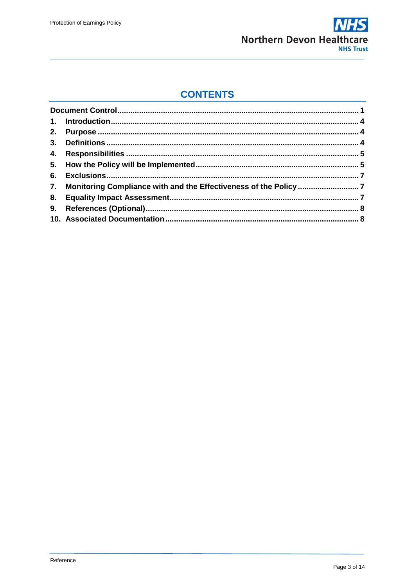

## **CONTENTS**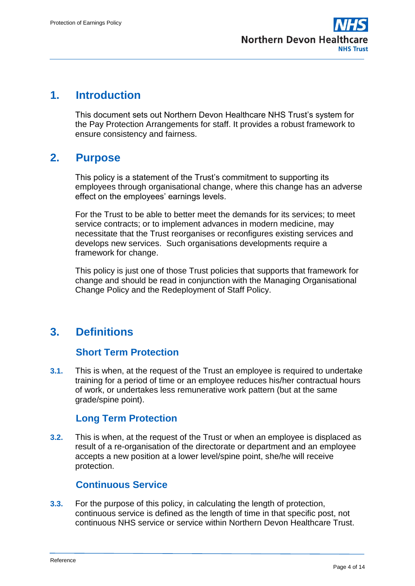

## <span id="page-3-0"></span>**1. Introduction**

This document sets out Northern Devon Healthcare NHS Trust's system for the Pay Protection Arrangements for staff. It provides a robust framework to ensure consistency and fairness.

## <span id="page-3-1"></span>**2. Purpose**

This policy is a statement of the Trust's commitment to supporting its employees through organisational change, where this change has an adverse effect on the employees' earnings levels.

For the Trust to be able to better meet the demands for its services; to meet service contracts; or to implement advances in modern medicine, may necessitate that the Trust reorganises or reconfigures existing services and develops new services. Such organisations developments require a framework for change.

This policy is just one of those Trust policies that supports that framework for change and should be read in conjunction with the Managing Organisational Change Policy and the Redeployment of Staff Policy.

# <span id="page-3-2"></span>**3. Definitions**

### **Short Term Protection**

**3.1.** This is when, at the request of the Trust an employee is required to undertake training for a period of time or an employee reduces his/her contractual hours of work, or undertakes less remunerative work pattern (but at the same grade/spine point).

### **Long Term Protection**

**3.2.** This is when, at the request of the Trust or when an employee is displaced as result of a re-organisation of the directorate or department and an employee accepts a new position at a lower level/spine point, she/he will receive protection.

## **Continuous Service**

**3.3.** For the purpose of this policy, in calculating the length of protection, continuous service is defined as the length of time in that specific post, not continuous NHS service or service within Northern Devon Healthcare Trust.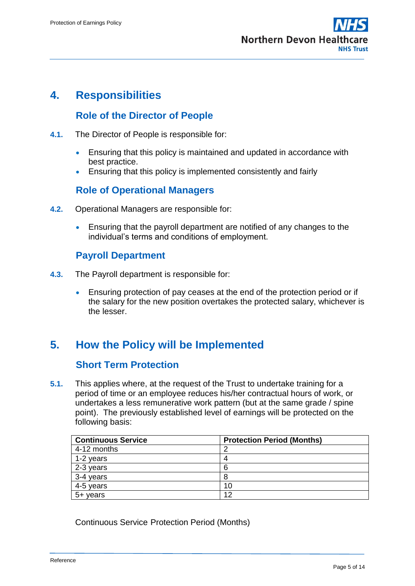

## <span id="page-4-0"></span>**4. Responsibilities**

## **Role of the Director of People**

- **4.1.** The Director of People is responsible for:
	- Ensuring that this policy is maintained and updated in accordance with best practice.
	- Ensuring that this policy is implemented consistently and fairly

### **Role of Operational Managers**

- **4.2.** Operational Managers are responsible for:
	- Ensuring that the payroll department are notified of any changes to the individual's terms and conditions of employment.

#### **Payroll Department**

- **4.3.** The Payroll department is responsible for:
	- Ensuring protection of pay ceases at the end of the protection period or if the salary for the new position overtakes the protected salary, whichever is the lesser.

## <span id="page-4-1"></span>**5. How the Policy will be Implemented**

#### **Short Term Protection**

**5.1.** This applies where, at the request of the Trust to undertake training for a period of time or an employee reduces his/her contractual hours of work, or undertakes a less remunerative work pattern (but at the same grade / spine point). The previously established level of earnings will be protected on the following basis:

| <b>Continuous Service</b> | <b>Protection Period (Months)</b> |
|---------------------------|-----------------------------------|
| 4-12 months               |                                   |
| 1-2 years                 |                                   |
| 2-3 years                 | 6                                 |
| 3-4 years                 |                                   |
| 4-5 years                 | 10                                |
| $5 + \text{years}$        | 12                                |

Continuous Service Protection Period (Months)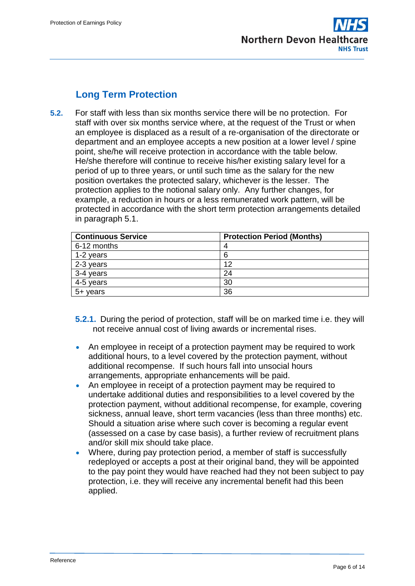

## **Long Term Protection**

**5.2.** For staff with less than six months service there will be no protection. For staff with over six months service where, at the request of the Trust or when an employee is displaced as a result of a re-organisation of the directorate or department and an employee accepts a new position at a lower level / spine point, she/he will receive protection in accordance with the table below. He/she therefore will continue to receive his/her existing salary level for a period of up to three years, or until such time as the salary for the new position overtakes the protected salary, whichever is the lesser. The protection applies to the notional salary only. Any further changes, for example, a reduction in hours or a less remunerated work pattern, will be protected in accordance with the short term protection arrangements detailed in paragraph 5.1.

| <b>Continuous Service</b> | <b>Protection Period (Months)</b> |
|---------------------------|-----------------------------------|
| 6-12 months               | 4                                 |
| 1-2 years                 | 6                                 |
| 2-3 years                 | 12                                |
| 3-4 years                 | 24                                |
| 4-5 years                 | 30                                |
| 5+ years                  | 36                                |

- **5.2.1.** During the period of protection, staff will be on marked time i.e. they will not receive annual cost of living awards or incremental rises.
- An employee in receipt of a protection payment may be required to work additional hours, to a level covered by the protection payment, without additional recompense. If such hours fall into unsocial hours arrangements, appropriate enhancements will be paid.
- An employee in receipt of a protection payment may be required to undertake additional duties and responsibilities to a level covered by the protection payment, without additional recompense, for example, covering sickness, annual leave, short term vacancies (less than three months) etc. Should a situation arise where such cover is becoming a regular event (assessed on a case by case basis), a further review of recruitment plans and/or skill mix should take place.
- Where, during pay protection period, a member of staff is successfully redeployed or accepts a post at their original band, they will be appointed to the pay point they would have reached had they not been subject to pay protection, i.e. they will receive any incremental benefit had this been applied.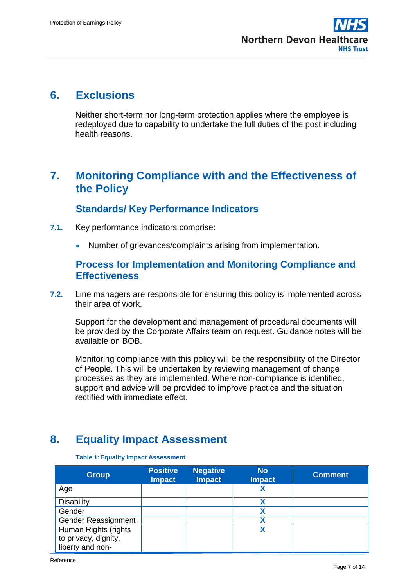

## <span id="page-6-0"></span>**6. Exclusions**

Neither short-term nor long-term protection applies where the employee is redeployed due to capability to undertake the full duties of the post including health reasons.

## <span id="page-6-1"></span>**7. Monitoring Compliance with and the Effectiveness of the Policy**

### **Standards/ Key Performance Indicators**

- **7.1.** Key performance indicators comprise:
	- Number of grievances/complaints arising from implementation.

### **Process for Implementation and Monitoring Compliance and Effectiveness**

**7.2.** Line managers are responsible for ensuring this policy is implemented across their area of work.

Support for the development and management of procedural documents will be provided by the Corporate Affairs team on request. Guidance notes will be available on BOB.

Monitoring compliance with this policy will be the responsibility of the Director of People. This will be undertaken by reviewing management of change processes as they are implemented. Where non-compliance is identified, support and advice will be provided to improve practice and the situation rectified with immediate effect.

# <span id="page-6-2"></span>**8. Equality Impact Assessment**

#### **Group Positive Impact Negative Impact No Impact Comment** Age **X** Disability **X** Gender **X** Gender Reassignment **X** Human Rights (rights to privacy, dignity, liberty and non-**X**

#### **Table 1:Equality impact Assessment**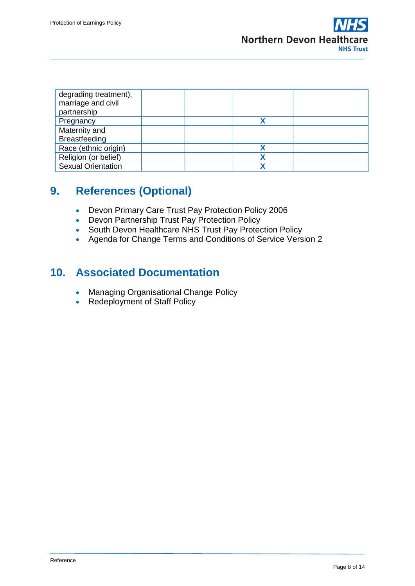| degrading treatment),<br>marriage and civil<br>partnership |  |  |
|------------------------------------------------------------|--|--|
| Pregnancy                                                  |  |  |
| Maternity and                                              |  |  |
| <b>Breastfeeding</b>                                       |  |  |
| Race (ethnic origin)                                       |  |  |
| Religion (or belief)                                       |  |  |
| <b>Sexual Orientation</b>                                  |  |  |

# <span id="page-7-0"></span>**9. References (Optional)**

- Devon Primary Care Trust Pay Protection Policy 2006
- Devon Partnership Trust Pay Protection Policy
- South Devon Healthcare NHS Trust Pay Protection Policy
- Agenda for Change Terms and Conditions of Service Version 2

## <span id="page-7-1"></span>**10. Associated Documentation**

- **Managing Organisational Change Policy**
- Redeployment of Staff Policy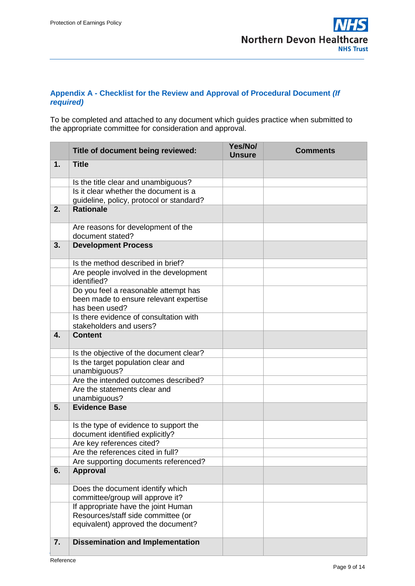#### **Appendix A - Checklist for the Review and Approval of Procedural Document** *(If required)*

To be completed and attached to any document which guides practice when submitted to the appropriate committee for consideration and approval.

|    | Title of document being reviewed:                                                                               | Yes/No/<br><b>Unsure</b> | <b>Comments</b> |
|----|-----------------------------------------------------------------------------------------------------------------|--------------------------|-----------------|
| 1. | <b>Title</b>                                                                                                    |                          |                 |
|    | Is the title clear and unambiguous?                                                                             |                          |                 |
|    | Is it clear whether the document is a                                                                           |                          |                 |
|    | guideline, policy, protocol or standard?                                                                        |                          |                 |
| 2. | <b>Rationale</b>                                                                                                |                          |                 |
|    | Are reasons for development of the                                                                              |                          |                 |
|    | document stated?                                                                                                |                          |                 |
| 3. | <b>Development Process</b>                                                                                      |                          |                 |
|    | Is the method described in brief?                                                                               |                          |                 |
|    | Are people involved in the development<br>identified?                                                           |                          |                 |
|    | Do you feel a reasonable attempt has<br>been made to ensure relevant expertise<br>has been used?                |                          |                 |
|    | Is there evidence of consultation with<br>stakeholders and users?                                               |                          |                 |
| 4. | <b>Content</b>                                                                                                  |                          |                 |
|    | Is the objective of the document clear?                                                                         |                          |                 |
|    | Is the target population clear and<br>unambiguous?                                                              |                          |                 |
|    | Are the intended outcomes described?                                                                            |                          |                 |
|    | Are the statements clear and<br>unambiguous?                                                                    |                          |                 |
| 5. | <b>Evidence Base</b>                                                                                            |                          |                 |
|    | Is the type of evidence to support the<br>document identified explicitly?                                       |                          |                 |
|    | Are key references cited?                                                                                       |                          |                 |
|    | Are the references cited in full?                                                                               |                          |                 |
|    | Are supporting documents referenced?                                                                            |                          |                 |
| 6. | <b>Approval</b>                                                                                                 |                          |                 |
|    | Does the document identify which<br>committee/group will approve it?                                            |                          |                 |
|    | If appropriate have the joint Human<br>Resources/staff side committee (or<br>equivalent) approved the document? |                          |                 |
| 7. | <b>Dissemination and Implementation</b>                                                                         |                          |                 |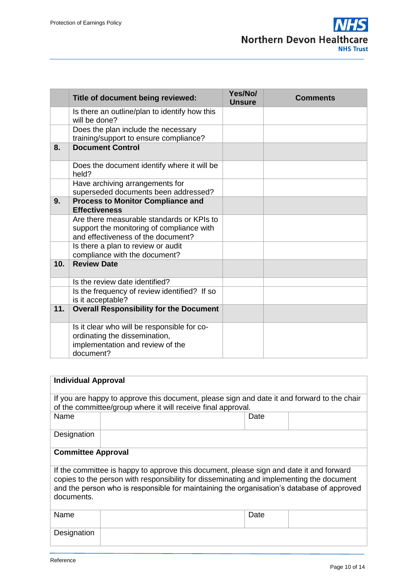|     | Title of document being reviewed:                                                                                             | Yes/No/<br><b>Unsure</b> | <b>Comments</b> |
|-----|-------------------------------------------------------------------------------------------------------------------------------|--------------------------|-----------------|
|     | Is there an outline/plan to identify how this<br>will be done?                                                                |                          |                 |
|     | Does the plan include the necessary<br>training/support to ensure compliance?                                                 |                          |                 |
| 8.  | <b>Document Control</b>                                                                                                       |                          |                 |
|     | Does the document identify where it will be<br>held?                                                                          |                          |                 |
|     | Have archiving arrangements for<br>superseded documents been addressed?                                                       |                          |                 |
| 9.  | <b>Process to Monitor Compliance and</b><br><b>Effectiveness</b>                                                              |                          |                 |
|     | Are there measurable standards or KPIs to<br>support the monitoring of compliance with<br>and effectiveness of the document?  |                          |                 |
|     | Is there a plan to review or audit<br>compliance with the document?                                                           |                          |                 |
| 10. | <b>Review Date</b>                                                                                                            |                          |                 |
|     | Is the review date identified?                                                                                                |                          |                 |
|     | Is the frequency of review identified? If so<br>is it acceptable?                                                             |                          |                 |
| 11. | <b>Overall Responsibility for the Document</b>                                                                                |                          |                 |
|     | Is it clear who will be responsible for co-<br>ordinating the dissemination,<br>implementation and review of the<br>document? |                          |                 |

| <b>Individual Approval</b>                                                                                                                                                                                                                                                                     |  |      |  |  |  |
|------------------------------------------------------------------------------------------------------------------------------------------------------------------------------------------------------------------------------------------------------------------------------------------------|--|------|--|--|--|
| If you are happy to approve this document, please sign and date it and forward to the chair<br>of the committee/group where it will receive final approval.                                                                                                                                    |  |      |  |  |  |
| Name                                                                                                                                                                                                                                                                                           |  | Date |  |  |  |
| Designation                                                                                                                                                                                                                                                                                    |  |      |  |  |  |
| <b>Committee Approval</b>                                                                                                                                                                                                                                                                      |  |      |  |  |  |
| If the committee is happy to approve this document, please sign and date it and forward<br>copies to the person with responsibility for disseminating and implementing the document<br>and the person who is responsible for maintaining the organisation's database of approved<br>documents. |  |      |  |  |  |
| Name                                                                                                                                                                                                                                                                                           |  | Date |  |  |  |
| Designation                                                                                                                                                                                                                                                                                    |  |      |  |  |  |
|                                                                                                                                                                                                                                                                                                |  |      |  |  |  |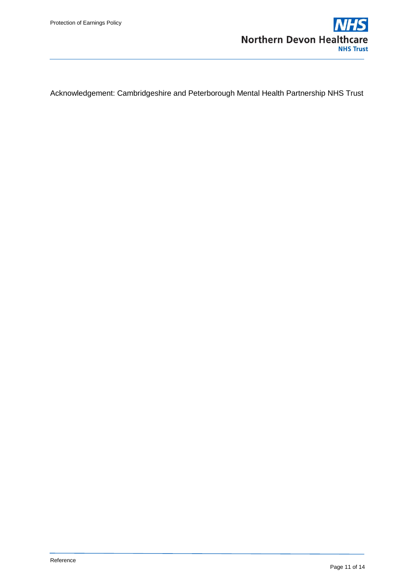

Acknowledgement: Cambridgeshire and Peterborough Mental Health Partnership NHS Trust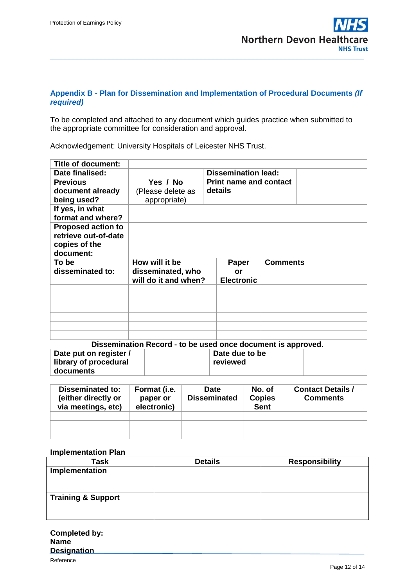#### **Appendix B - Plan for Dissemination and Implementation of Procedural Documents** *(If required)*

To be completed and attached to any document which guides practice when submitted to the appropriate committee for consideration and approval.

Acknowledgement: University Hospitals of Leicester NHS Trust.

| <b>Title of document:</b> |                      |                                                                        |                 |  |
|---------------------------|----------------------|------------------------------------------------------------------------|-----------------|--|
| Date finalised:           |                      | <b>Dissemination lead:</b><br><b>Print name and contact</b><br>details |                 |  |
| <b>Previous</b>           | Yes / No             |                                                                        |                 |  |
| document already          | (Please delete as    |                                                                        |                 |  |
| being used?               | appropriate)         |                                                                        |                 |  |
| If yes, in what           |                      |                                                                        |                 |  |
| format and where?         |                      |                                                                        |                 |  |
| <b>Proposed action to</b> |                      |                                                                        |                 |  |
| retrieve out-of-date      |                      |                                                                        |                 |  |
| copies of the             |                      |                                                                        |                 |  |
|                           |                      |                                                                        |                 |  |
| document:                 |                      |                                                                        |                 |  |
| To be                     | How will it be       | <b>Paper</b>                                                           | <b>Comments</b> |  |
| disseminated to:          | disseminated, who    | or                                                                     |                 |  |
|                           | will do it and when? | <b>Electronic</b>                                                      |                 |  |
|                           |                      |                                                                        |                 |  |
|                           |                      |                                                                        |                 |  |
|                           |                      |                                                                        |                 |  |
|                           |                      |                                                                        |                 |  |
|                           |                      |                                                                        |                 |  |

| Dissemination Record - to be used once document is approved. |  |                |  |  |  |
|--------------------------------------------------------------|--|----------------|--|--|--|
| Date put on register /                                       |  | Date due to be |  |  |  |
| library of procedural                                        |  | reviewed       |  |  |  |
| documents                                                    |  |                |  |  |  |

| <b>Disseminated to:</b><br>(either directly or<br>via meetings, etc) | Format (i.e.<br>paper or<br>electronic) | <b>Date</b><br><b>Disseminated</b> | No. of<br><b>Copies</b><br><b>Sent</b> | <b>Contact Details /</b><br><b>Comments</b> |
|----------------------------------------------------------------------|-----------------------------------------|------------------------------------|----------------------------------------|---------------------------------------------|
|                                                                      |                                         |                                    |                                        |                                             |
|                                                                      |                                         |                                    |                                        |                                             |
|                                                                      |                                         |                                    |                                        |                                             |

#### **Implementation Plan**

| <b>Task</b>                   | <b>Details</b> | <b>Responsibility</b> |
|-------------------------------|----------------|-----------------------|
| Implementation                |                |                       |
| <b>Training &amp; Support</b> |                |                       |

| Completed by:      |  |
|--------------------|--|
| <b>Name</b>        |  |
| <b>Designation</b> |  |
|                    |  |

Reference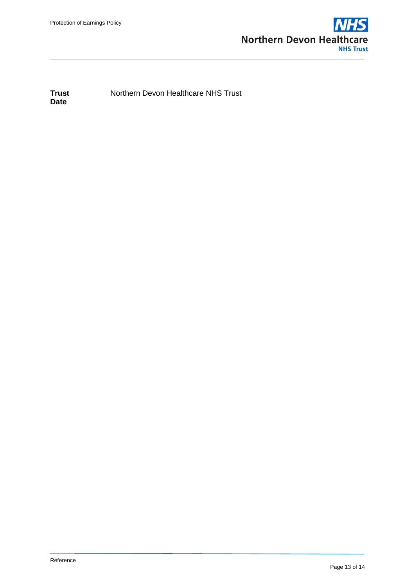

**Trust** Northern Devon Healthcare NHS Trust **Date**